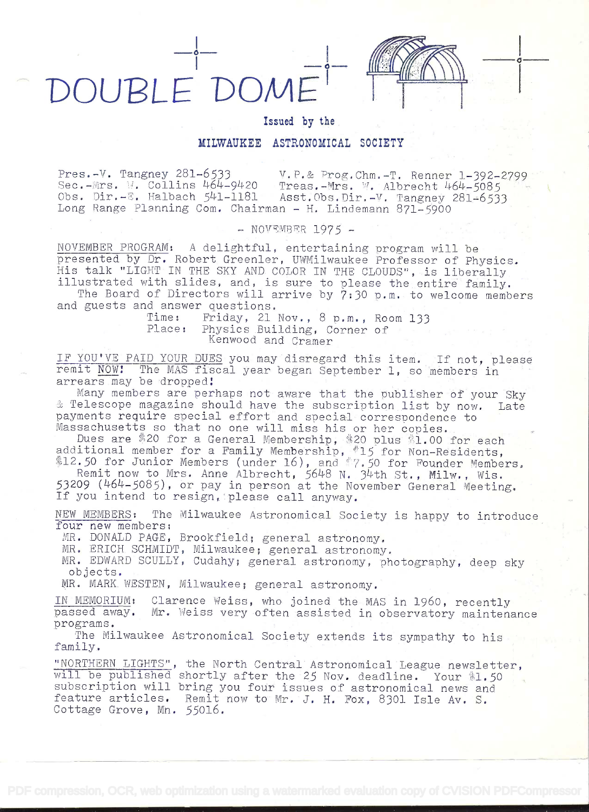



i kacamatan ing Kabupatèn Kabupatèn Kabupatèn Kabupatèn Kabupatèn Kabupatèn Kabupatèn Kabupatèn Kabupatèn Kabu

## Issued by the

## MILWAUKEE ASTRONOMICAL SOCIETY

Pres.-V. Tangney 281-6533 v.P.& Prog.Chm.-T. Renner 1-392-2799<br>Sec.-Mrs. W. Collins 464-9420 Treas.-Mrs. W. Albrecht 464-5085 Sec.-Mrs. W. Collins 464-9420 Treas.-Mrs. W. Albrecht 464-5085<br>Obs. Dir.-E. Halbach 541-1181 Asst.Obs.Dir.-V. Tangney 281-6537 Asst.Obs.Dir.-V. Tangney 281-6533 Long Range Planning Com. Chairman - H. Lindemann 871-5900

 $-$  NOVEMBER 1975  $-$ 

NOVEMBER PROGRAM: A delightful, entertaining program will be presented by Dr. Robert Greenler, UWMilwaukee Professor of Physics. His talk "LIGHT IN THE SKY AND COLOR IN THE CLOUDS", is liberally illustrated with slides, and, is sure to please the entire family.

The Board of Directors will arrive by 7:30 p.m. to welcome members and guests and answer questions.<br>Time: Friday, 21

Time: Friday, 21 Nov., 8 p.m., Room 133<br>Place: Physics Building. Corner of Physics Building, Corner of Kenwood and. Cramer

IF YOU'VE PAID YOUR DUES you may disregard this item. If not, please remit NOW! The MAS fiscal year began September 1, so members in arrears may be dropped

Many members are perhaps not aware that the publisher 6f your Sky & Telescope magazine should have the subscription list by now. Late payments require special effort and special correspondence to Massachusetts so that no one will miss his or her copies.

Dues are \$20 for a General Membership, \$20 plus \$1.00 for each additional member for a Family Membership,  $*15$  for Non-Residents, 12.50 for Junior Members (under 16), and  $\sqrt[6]{7.50}$  for Founder Members,

Remit now to Mrs. Anne Albrecht, 5648 N. 34th St., Milw., Wis. 53209 (464-5085), or pay in person at the November General Meeting. If you intend to resign, please call anyway.

NEW MEMBERS: The Milwaukee Astronomical Society is happy to introduce four new members:

MR. DONALD PAGE, Brookfield; general astronomy.

MR. ERICH SCHMIDT, Milwaukee; general astronomy.

MR. EDWARD SCULLY, Cudahy; general astronomy, photography, deep sky objects.

MR. MARK. WESTEN, Milwaukee; general astronomy.

IN MEMORIUM: Clarence Weiss, who joined the MAS in 1960, recently passed away. Mr. Weiss very often assisted in observatory maintenance programs.

The Milwaukee Astronomical Society extends its sympathy to his family. .

"NORTHERN LIGHTS", the North Central Astronomical League newsletter, will be published shortly after the 25 Nov. deadline. Your  $*1.50$ subscription will bring you four issues of astronomical news and feature articles. Remit now to Mr. J. H. Fox, 8301 Isle Av. S. Cottage Grove, Mn. 55016.